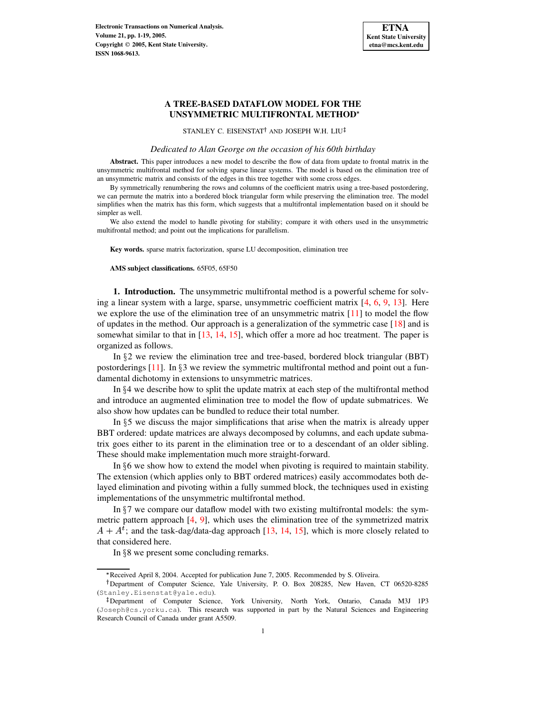

# **A TREE-BASED DATAFLOW MODEL FOR THE UNSYMMETRIC MULTIFRONTAL METHOD**

STANLEY C. EISENSTAT<sup>†</sup> AND JOSEPH W.H. LIU

### *Dedicated to Alan George on the occasion of his 60th birthday*

**Abstract.** This paper introduces a new model to describe the flow of data from update to frontal matrix in the unsymmetric multifrontal method for solving sparse linear systems. The model is based on the elimination tree of an unsymmetric matrix and consists of the edges in this tree together with some cross edges.

By symmetrically renumbering the rows and columns of the coefficient matrix using a tree-based postordering, we can permute the matrix into a bordered block triangular form while preserving the elimination tree. The model simplifies when the matrix has this form, which suggests that a multifrontal implementation based on it should be simpler as well.

We also extend the model to handle pivoting for stability; compare it with others used in the unsymmetric multifrontal method; and point out the implications for parallelism.

**Key words.** sparse matrix factorization, sparse LU decomposition, elimination tree

**AMS subject classifications.** 65F05, 65F50

**1. Introduction.** The unsymmetric multifrontal method is a powerful scheme for solving a linear system with a large, sparse, unsymmetric coefficient matrix [\[4,](#page-18-0) [6,](#page-18-1) [9,](#page-18-2) [13\]](#page-18-3). Here we explore the use of the elimination tree of an unsymmetric matrix [\[11\]](#page-18-4) to model the flow of updates in the method. Our approach is a generalization of the symmetric case [\[18\]](#page-18-5) and is somewhat similar to that in [\[13,](#page-18-3) [14,](#page-18-6) [15\]](#page-18-7), which offer a more ad hoc treatment. The paper is organized as follows.

In  $\S2$  we review the elimination tree and tree-based, bordered block triangular (BBT) postorderings  $[11]$ . In  $\S$ 3 we review the symmetric multifrontal method and point out a fundamental dichotomy in extensions to unsymmetric matrices.

In  $\S 4$  we describe how to split the update matrix at each step of the multifrontal method and introduce an augmented elimination tree to model the flow of update submatrices. We also show how updates can be bundled to reduce their total number.

In  $\S5$  we discuss the major simplifications that arise when the matrix is already upper BBT ordered: update matrices are always decomposed by columns, and each update submatrix goes either to its parent in the elimination tree or to a descendant of an older sibling. These should make implementation much more straight-forward.

In  $§6$  we show how to extend the model when pivoting is required to maintain stability. The extension (which applies only to BBT ordered matrices) easily accommodates both delayed elimination and pivoting within a fully summed block, the techniques used in existing implementations of the unsymmetric multifrontal method.

In  $\S$ 7 we compare our dataflow model with two existing multifrontal models: the symmetric pattern approach  $[4, 9]$  $[4, 9]$  $[4, 9]$ , which uses the elimination tree of the symmetrized matrix  $A + A^{t}$ ; and the task-dag/data-dag approach [\[13,](#page-18-3) [14,](#page-18-6) [15\]](#page-18-7), which is more closely related to that considered here.

In  $\S 8$  we present some concluding remarks.

<sup>\*</sup> Received April 8, 2004. Accepted for publication June 7, 2005. Recommended by S. Oliveira.

<sup>&</sup>lt;sup>†</sup>Department of Computer Science, Yale University, P. O. Box 208285, New Haven, CT 06520-8285 (Stanley.Eisenstat@yale.edu).

<sup>-</sup> Department of Computer Science, York University, North York, Ontario, Canada M3J 1P3 (Joseph@cs.yorku.ca). This research was supported in part by the Natural Sciences and Engineering Research Council of Canada under grant A5509.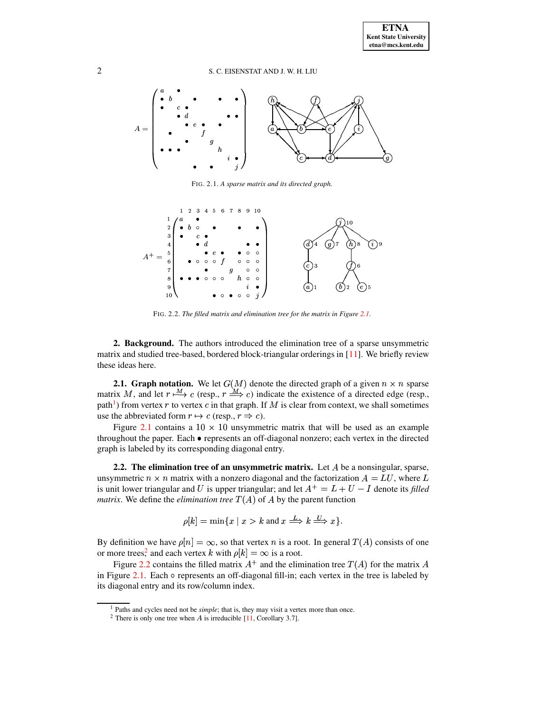

FIG. 2.1. *A sparse matrix and its directed graph.*

<span id="page-1-0"></span>

FIG. 2.2. *The filled matrix and elimination tree for the matrix in Figure [2.1.](#page-1-0)*

<span id="page-1-3"></span>**2. Background.** The authors introduced the elimination tree of a sparse unsymmetric matrix and studied tree-based, bordered block-triangular orderings in [\[11\]](#page-18-4). We briefly review these ideas here.

**2.1. Graph notation.** We let  $G(M)$  denote the directed graph of a given  $n \times n$  sparse matrix M, and let  $r \stackrel{M}{\longrightarrow} c$  (resp.,  $r \stackrel{M}{\longrightarrow} c$ ) indicate the existence of a directed edge (resp., path<sup>[1](#page-1-1)</sup>) from vertex  $r$  to vertex  $c$  in that graph. If  $M$  is clear from context, we shall sometimes use the abbreviated form  $r \mapsto c$  (resp.,  $r \Rightarrow c$ ).

Figure [2.1](#page-1-0) contains a  $10 \times 10$  unsymmetric matrix that will be used as an example throughout the paper. Each  $\bullet$  represents an off-diagonal nonzero; each vertex in the directed graph is labeled by its corresponding diagonal entry.

**2.2. The elimination tree of an unsymmetric matrix.** Let be a nonsingular, sparse, unsymmetric  $n \times n$  matrix with a nonzero diagonal and the factorization  $A = LU$ , where L is unit lower triangular and U is upper triangular; and let  $A^+ = L + U - I$  denote its *filled matrix.* We define the *elimination tree*  $T(A)$  of A by the parent function

$$
\rho[k] = \min\{x \mid x > k \text{ and } x \stackrel{L}{\Longrightarrow} k \stackrel{U}{\Longrightarrow} x\}.
$$

By definition we have  $\rho[n] = \infty$ , so that vertex n is a root. In general  $T(A)$  consists of one or more tree[s,](#page-1-2)<sup>2</sup> and each vertex k with  $\rho[k] = \infty$  is a root.

Figure [2.2](#page-1-3) contains the filled matrix  $A^+$  and the elimination tree  $T(A)$  for the matrix A in Figure  $2.1$ . Each  $\circ$  represents an off-diagonal fill-in; each vertex in the tree is labeled by its diagonal entry and its row/column index.

<sup>&</sup>lt;sup>1</sup> Paths and cycles need not be *simple*; that is, they may visit a vertex more than once.

<span id="page-1-2"></span><span id="page-1-1"></span><sup>&</sup>lt;sup>2</sup> There is only one tree when A is irreducible  $[11]$ , Corollary 3.7].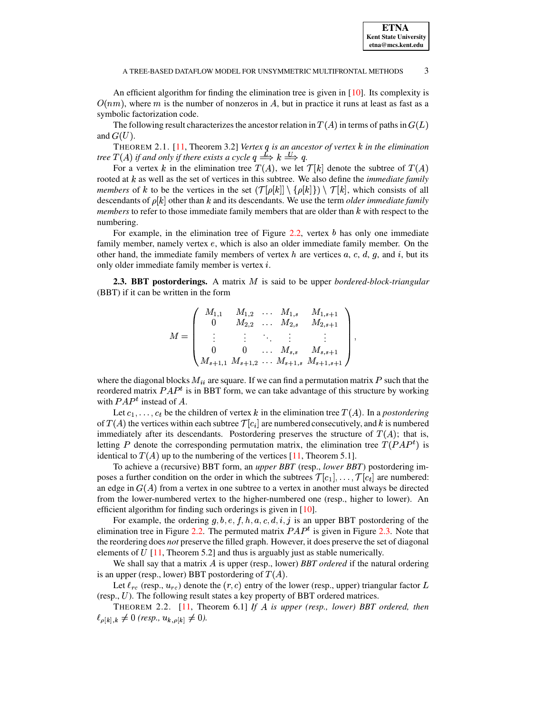An efficient algorithm for finding the elimination tree is given in  $[10]$ . Its complexity is  $O(nm)$ , where m is the number of nonzeros in A, but in practice it runs at least as fast as a symbolic factorization code.

The following result characterizes the ancestor relation in  $T(A)$  in terms of paths in  $G(L)$ and  $G(U)$ .

<span id="page-2-1"></span>THEOREM 2.1. [\[11,](#page-18-4) Theorem 3.2] *Vertex is an ancestor of vertex* <sup>y</sup> *in the elimination tree*  $T(A)$  *if and only if there exists a cycle*  $q \stackrel{L}{\Longrightarrow} k \stackrel{U}{\Longrightarrow} q$ .

For a vertex k in the elimination tree  $T(A)$ , we let  $\mathcal{T}[k]$  denote the subtree of  $T(A)$ rooted at k as well as the set of vertices in this subtree. We also define the *immediate family members* of k to be the vertices in the set  $(\mathcal{T}[\rho[k]] \setminus {\rho[k]} ) \setminus \mathcal{T}[k]$ , which consists of all descendants of  $\rho[k]$  other than k and its descendants. We use the term *older immediate family*  $members$  to refer to those immediate family members that are older than  $k$  with respect to the numbering.

For example, in the elimination tree of Figure [2.2,](#page-1-3) vertex  $b$  has only one immediate family member, namely vertex  $e$ , which is also an older immediate family member. On the other hand, the immediate family members of vertex h are vertices a, c, d, g, and i, but its only older immediate family member is vertex  $i$ .

**2.3. BBT** postorderings. A matrix M is said to be upper *bordered-block-triangular* (BBT) if it can be written in the form

$$
M = \begin{pmatrix} M_{1,1} & M_{1,2} & \dots & M_{1,s} & M_{1,s+1} \\ 0 & M_{2,2} & \dots & M_{2,s} & M_{2,s+1} \\ \vdots & \vdots & \ddots & \vdots & \vdots \\ 0 & 0 & \dots & M_{s,s} & M_{s,s+1} \\ M_{s+1,1} & M_{s+1,2} & \dots & M_{s+1,s} & M_{s+1,s+1} \end{pmatrix},
$$

where the diagonal blocks  $M_{ii}$  are square. If we can find a permutation matrix  $P$  such that the reordered matrix  $PAP<sup>t</sup>$  is in BBT form, we can take advantage of this structure by working with  $PAP<sup>t</sup>$  instead of A.

Let  $c_1, \ldots, c_t$  be the children of vertex k in the elimination tree  $T(A)$ . In a *postordering* Let  $c_1, \ldots, c_t$  be the children of vertex  $\kappa$  in the elimination tree  $I(A)$ . In a postoraering of  $T(A)$  the vertices within each subtree  $\mathcal{T}[c_i]$  are numbered consecutively, and  $k$  is numbered immediately after its descendants. Postordering preserves the structure of  $T(A)$ ; that is, letting P denote the corresponding permutation matrix, the elimination tree  $T(PAP<sup>t</sup>)$  is identical to  $T(A)$  up to the numbering of the vertices [\[11,](#page-18-4) Theorem 5.1].

To achieve a (recursive) BBT form, an *upper BBT* (resp., *lower BBT*) postordering imposes a further condition on the order in which the subtrees  $\mathcal{T}[c_1], \ldots, \mathcal{T}[c_t]$  are numbered: poses a further condition on the order in which the subtrees  $\ell$  [ $c_1$ ], ...,  $\ell$  [ $c_t$ ] are numbered:<br>an edge in  $G(A)$  from a vertex in one subtree to a vertex in another must always be directed from the lower-numbered vertex to the higher-numbered one (resp., higher to lower). An efficient algorithm for finding such orderings is given in [\[10\]](#page-18-8).

For example, the ordering  $g, b, e, f, h, a, c, d, i, j$  is an upper BBT postordering of the ination tree in Figure 2.2. The permuted matrix  $PAP<sup>t</sup>$  is given in Figure 2.3. Note that For example, the ordering  $g, b, e, J, h, a, c, d, i, j$  is an upper BBT postordering of the elimination tree in Figure [2.2.](#page-1-3) The permuted matrix  $PAP<sup>t</sup>$  is given in Figure [2.3.](#page-3-0) Note that the reordering does *not* preserve the filled graph. However, it does preserve the set of diagonal elements of  $U$  [\[11,](#page-18-4) Theorem 5.2] and thus is arguably just as stable numerically.

We shall say that a matrix A is upper (resp., lower) *BBT ordered* if the natural ordering is an upper (resp., lower) BBT postordering of  $T(A)$ .

Let  $\ell_{rc}$  (resp.,  $u_{rc}$ ) denote the  $(r, c)$  entry of the lower (resp., upper) triangular factor L Let  $\ell_{rc}$  (resp.,  $u_{rc}$ ) denote the  $(r, c)$  entry of the lower (resp., upper) trian<br>(resp., U). The following result states a key property of BBT ordered matrices.

<span id="page-2-0"></span>THEOREM 2.2. [\[11,](#page-18-4) Theorem 6.1] *If is upper (resp., lower) BBT ordered, then*  $\ell_{\rho[k],k} \neq 0$  (resp.,  $u_{k,\rho[k]} \neq 0$ ).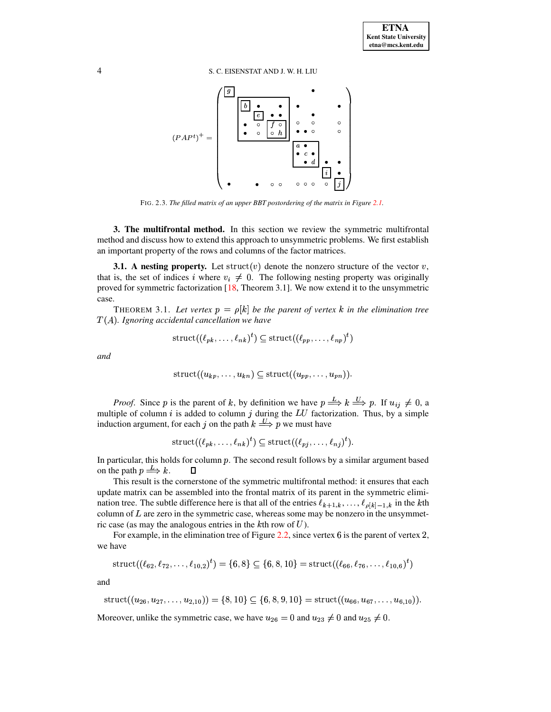

FIG. 2.3. The filled matrix of an upper BBT postordering of the matrix in Figure 2.1.

<span id="page-3-0"></span>**3. The multifrontal method.** In this section we review the symmetric multifrontal method and discuss how to extend this approach to unsymmetric problems. We first establish an important property of the rows and columns of the factor matrices.

**3.1.** A nesting property. Let struct(v) denote the nonzero structure of the vector  $v$ , that is, the set of indices i where  $v_i \neq 0$ . The following nesting property was originally proved for symmetric factorization  $[18,$  Theorem 3.1]. We now extend it to the unsymmetric case.

<span id="page-3-1"></span>THEOREM 3.1. Let vertex  $p = \rho[k]$  be the parent of vertex k in the elimination tree  $T(A)$ . Ignoring accidental cancellation we have

$$
struct((\ell_{pk}, \ldots, \ell_{nk})^t) \subseteq struct((\ell_{pp}, \ldots, \ell_{np})^t)
$$

and

$$
struct((u_{kp},\ldots,u_{kn}) \subseteq struct((u_{pp},\ldots,u_{pn})).
$$

*Proof.* Since p is the parent of k, by definition we have  $p \stackrel{L}{\Longrightarrow} k \stackrel{U}{\Longrightarrow} p$ . If  $u_{ij} \neq 0$ , a multiple of column  $i$  is added to column  $j$  during the  $LU$  factorization. Thus, by a simple induction argument, for each j on the path  $k \stackrel{U}{\Longrightarrow} p$  we must have

$$
struct((\ell_{pk}, \ldots, \ell_{nk})^t) \subseteq struct((\ell_{pj}, \ldots, \ell_{nj})^t).
$$

In particular, this holds for column  $p$ . The second result follows by a similar argument based on the path  $p \stackrel{L}{\Longrightarrow} k$ .  $\Box$ 

This result is the cornerstone of the symmetric multifrontal method: it ensures that each update matrix can be assembled into the frontal matrix of its parent in the symmetric elimination tree. The subtle difference here is that all of the entries  $\ell_{k+1,k}, \ldots, \ell_{\rho[k]-1,k}$  in the kth column of  $L$  are zero in the symmetric case, whereas some may be nonzero in the unsymmetric case (as may the analogous entries in the  $k$ th row of  $U$ ).

For example, in the elimination tree of Figure 2.2, since vertex  $6$  is the parent of vertex 2, we have

struct(
$$
(\ell_{62}, \ell_{72}, \ldots, \ell_{10,2})^t
$$
) = {6, 8}  $\subseteq$  {6, 8, 10} = struct( $(\ell_{66}, \ell_{76}, \ldots, \ell_{10,6})^t$ )

and

struct( $(u_{26}, u_{27}, \ldots, u_{2,10})$ ) = {8, 10}  $\subseteq$  {6, 8, 9, 10} = struct( $(u_{66}, u_{67}, \ldots, u_{6,10})$ ).

Moreover, unlike the symmetric case, we have  $u_{26} = 0$  and  $u_{23} \neq 0$  and  $u_{25} \neq 0$ .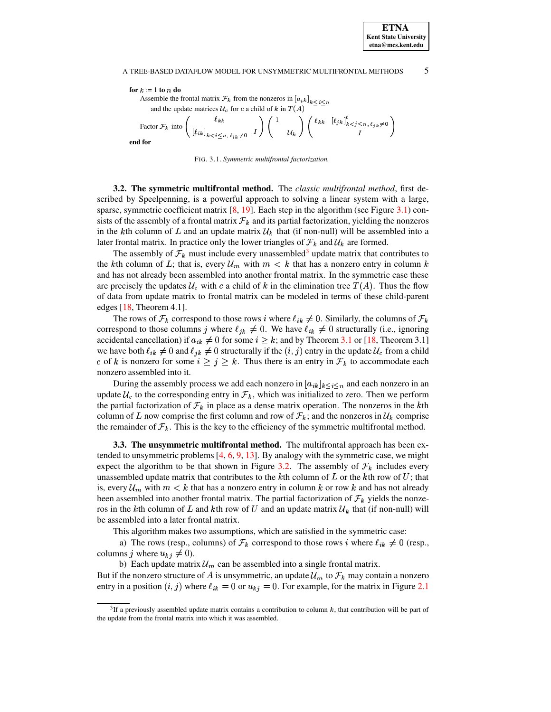# **ETNA Kent State University etna@mcs.kent.edu**

## A TREE-BASED DATAFLOW MODEL FOR UNSYMMETRIC MULTIFRONTAL METHODS  $5$

 $for k := 1$  **to**  $n$  **do** Assemble the frontal matrix  $\mathcal{F}_k$  from the nonzeros in  $[a_{ik}]_{k \leq i \leq n}$ and the update matrices  $\mathcal{U}_c$  for c a child of k in  $T(A)$ Factor  $\mathcal{F}_k$  into  $\begin{pmatrix} 1 & i \end{pmatrix}$  $\left.\begin{array}{cc} \ell_{kk} & \ell_{kk} \\ \left[\ell_{ik}\right]_{k < i \leq n, \ell_{ik} \neq 0} & I \end{array}\right) \left(\begin{array}{cc} 1 & \ & \mu_k \end{array}\right)$  $\left( \begin{array}{cc} 1 & \ & \ \mathcal{U}_k \end{array} \right) \left( \begin{array}{cc} \ell_{kk} & [\ell_{jk}] \end{array} \right)$  $\left( \begin{array}{cc} \ell_{kk} & \left[ \ell_{jk} \right]_{k < j \leq n, \ell_{jk} \neq 0}^{t} \\ I \end{array} \right)$ **end for**

<span id="page-4-0"></span>

FIG. 3.1. *Symmetric multifrontal factorization.*

**3.2. The symmetric multifrontal method.** The *classic multifrontal method*, first described by Speelpenning, is a powerful approach to solving a linear system with a large, sparse, symmetric coefficient matrix  $[8, 19]$  $[8, 19]$  $[8, 19]$ . Each step in the algorithm (see Figure [3.1\)](#page-4-0) consists of the assembly of a frontal matrix  $\mathcal{F}_k$  and its partial factorization, yielding the nonzeros in the kth column of L and an update matrix  $\mathcal{U}_k$  that (if non-null) will be assembled into a later frontal matrix. In practice only the lower triangles of  $\mathcal{F}_k$  and  $\mathcal{U}_k$  are formed.

The assembly of  $\mathcal{F}_k$  must include every unassembled<sup>[3](#page-4-1)</sup> update matrix that contributes to the kth column of L; that is, every  $\mathcal{U}_m$  with  $m < k$  that has a nonzero entry in column k and has not already been assembled into another frontal matrix. In the symmetric case these are precisely the updates  $\mathcal{U}_c$  with c a child of k in the elimination tree  $T(A)$ . Thus the flow of data from update matrix to frontal matrix can be modeled in terms of these child-parent edges [\[18,](#page-18-5) Theorem 4.1].

The rows of  $\mathcal{F}_k$  correspond to those rows i where  $\ell_{ik} \neq 0$ . Similarly, the columns of  $\mathcal{F}_k$ correspond to those columns j where  $\ell_{jk} \neq 0$ . We have  $\ell_{ik} \neq 0$  structurally (i.e., ignoring accidental cancellation) if  $a_{ik} \neq 0$  for some  $i \geq k$ ; and by Theorem [3.1](#page-3-1) or [\[18,](#page-18-5) Theorem 3.1] we have both  $\ell_{ik} \neq 0$  and  $\ell_{jk} \neq 0$  structurally if the  $(i, j)$  entry in the update  $\mathcal{U}_c$  from a child c of k is nonzero for some  $i \ge j \ge k$ . Thus there is an entry in  $\mathcal{F}_k$  to accommodate each nonzero assembled into it. nonzero assembled into it.

During the assembly process we add each nonzero in  $[a_{ik}]_{k \leq i \leq n}$  and each nonzero in an update  $\mathcal{U}_c$  to the corresponding entry in  $\mathcal{F}_k$ , which was initialized to zero. Then we perform the partial factorization of  $\mathcal{F}_k$  in place as a dense matrix operation. The nonzeros in the kth column of L now comprise the first column and row of  $\mathcal{F}_k$ ; and the nonzeros in  $\mathcal{U}_k$  comprise the remainder of  $\mathcal{F}_k$ . This is the key to the efficiency of the symmetric multifrontal method.

<span id="page-4-2"></span>**3.3. The unsymmetric multifrontal method.** The multifrontal approach has been extended to unsymmetric problems  $[4, 6, 9, 13]$  $[4, 6, 9, 13]$  $[4, 6, 9, 13]$  $[4, 6, 9, 13]$  $[4, 6, 9, 13]$  $[4, 6, 9, 13]$  $[4, 6, 9, 13]$ . By analogy with the symmetric case, we might expect the algorithm to be that shown in Figure [3.2.](#page-5-0) The assembly of  $\mathcal{F}_k$  includes every unassembled update matrix that contributes to the kth column of L or the kth row of U; that is, every  $\mathcal{U}_m$  with  $m < k$  that has a nonzero entry in column k or row k and has not already been assembled into another frontal matrix. The partial factorization of  $\mathcal{F}_k$  yields the nonzeros in the kth column of L and kth row of U and an update matrix  $\mathcal{U}_k$  that (if non-null) will be assembled into a later frontal matrix.

This algorithm makes two assumptions, which are satisfied in the symmetric case:

a) The rows (resp., columns) of  $\mathcal{F}_k$  correspond to those rows *i* where  $\ell_{ik} \neq 0$  (resp., columns j where  $u_{kj} \neq 0$ ).

b) Each update matrix  $\mathcal{U}_m$  can be assembled into a single frontal matrix. But if the nonzero structure of A is unsymmetric, an update  $\mathcal{U}_m$  to  $\mathcal{F}_k$  may contain a nonzero entry in a position  $(i, j)$  where  $\ell_{ik} = 0$  or  $u_{kj} = 0$ . For example, for the matrix in Figure [2.1](#page-1-0)

<span id="page-4-1"></span><sup>&</sup>lt;sup>3</sup>If a previously assembled update matrix contains a contribution to column  $k$ , that contribution will be part of the update from the frontal matrix into which it was assembled.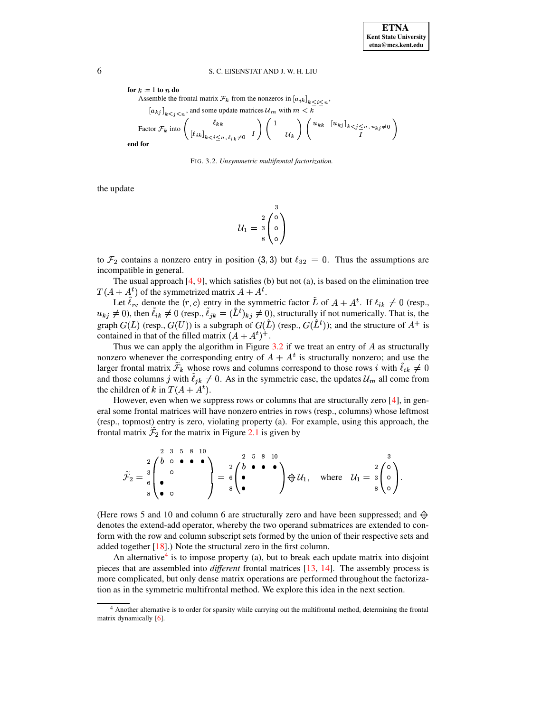for  $k := 1$  to n do Assemble the frontal matrix  $\mathcal{F}_k$  from the nonzeros in  $[a_{ik}]_{k \leq i \leq n}$ ,  $[a_{kj}]_{k \leq i \leq n}$ , and some update matrices  $\mathcal{U}_m$  with  $m < k$ 

Factor 
$$
\mathcal{F}_k
$$
 into  $\begin{pmatrix} \ell_{kk} \\ \left[\ell_{ik}\right]_{k < i \leq n, \ell_{ik} \neq 0} & I \end{pmatrix} \begin{pmatrix} 1 \\ & \mathcal{U}_k \end{pmatrix} \begin{pmatrix} u_{kk} & \left[u_{kj}\right]_{k < j \leq n, \, u_{kj} \neq 0} \\ I \end{pmatrix}$  for

end

<span id="page-5-0"></span>FIG. 3.2. Unsymmetric multifrontal factorization.

the update

$$
\mathcal{U}_1 = \begin{array}{c} 3 \\ 2 \\ 3 \\ 8 \end{array} \begin{pmatrix} 3 \\ 0 \\ 0 \\ 0 \end{pmatrix}
$$

to  $\mathcal{F}_2$  contains a nonzero entry in position (3,3) but  $\ell_{32} = 0$ . Thus the assumptions are incompatible in general.

The usual approach  $[4, 9]$ , which satisfies (b) but not (a), is based on the elimination tree  $T(A + A<sup>t</sup>)$  of the symmetrized matrix  $A + A<sup>t</sup>$ .

Let  $\tilde{\ell}_{rc}$  denote the  $(r, c)$  entry in the symmetric factor  $\tilde{L}$  of  $A + A^t$ . If  $\ell_{ik} \neq 0$  (resp.,  $u_{kj} \neq 0$ , then  $\tilde{\ell}_{ik} \neq 0$  (resp.,  $\tilde{\ell}_{jk} = (\tilde{L}^t)_{kj} \neq 0$ ), structurally if not numerically. That is, the graph  $G(L)$  (resp.,  $G(U)$ ) is a subgraph of  $G(\tilde{L})$  (resp.,  $G(\tilde{L}^t)$ ); and the structure of  $A^+$  is contained in that of the filled matrix  $(A + A<sup>t</sup>)<sup>+</sup>$ .

Thus we can apply the algorithm in Figure 3.2 if we treat an entry of  $A$  as structurally nonzero whenever the corresponding entry of  $A + A<sup>t</sup>$  is structurally nonzero; and use the larger frontal matrix  $\mathcal{F}_k$  whose rows and columns correspond to those rows *i* with  $\ell_{ik} \neq 0$ and those columns j with  $\ell_{jk} \neq 0$ . As in the symmetric case, the updates  $\mathcal{U}_m$  all come from the children of k in  $T(A + A<sup>t</sup>)$ .

However, even when we suppress rows or columns that are structurally zero  $[4]$ , in general some frontal matrices will have nonzero entries in rows (resp., columns) whose leftmost (resp., topmost) entry is zero, violating property (a). For example, using this approach, the frontal matrix  $\mathcal{F}_2$  for the matrix in Figure 2.1 is given by

$$
\widetilde{\mathcal{F}}_2 = \frac{2}{6} \begin{pmatrix} 2 & 3 & 5 & 8 & 10 \\ 0 & 0 & \bullet & \bullet & \bullet \\ \bullet & & & \\ 8 & \bullet & \bullet & \end{pmatrix} = \frac{2}{6} \begin{pmatrix} 2 & 5 & 8 & 10 \\ \bullet & \bullet & \bullet & \bullet \\ \bullet & & & \\ 8 & \bullet & & \end{pmatrix} \oplus \mathcal{U}_1, \text{ where } \mathcal{U}_1 = \frac{2}{3} \begin{pmatrix} 0 \\ 0 \\ 0 \\ 0 \end{pmatrix}.
$$

(Here rows 5 and 10 and column 6 are structurally zero and have been suppressed; and  $\oplus$ denotes the extend-add operator, whereby the two operand submatrices are extended to conform with the row and column subscript sets formed by the union of their respective sets and added together  $[18]$ .) Note the structural zero in the first column.

An alternative<sup>4</sup> is to impose property (a), but to break each update matrix into disjoint pieces that are assembled into *different* frontal matrices [13, 14]. The assembly process is more complicated, but only dense matrix operations are performed throughout the factorization as in the symmetric multifrontal method. We explore this idea in the next section.

6

<span id="page-5-1"></span><sup>&</sup>lt;sup>4</sup> Another alternative is to order for sparsity while carrying out the multifrontal method, determining the frontal matrix dynamically [6].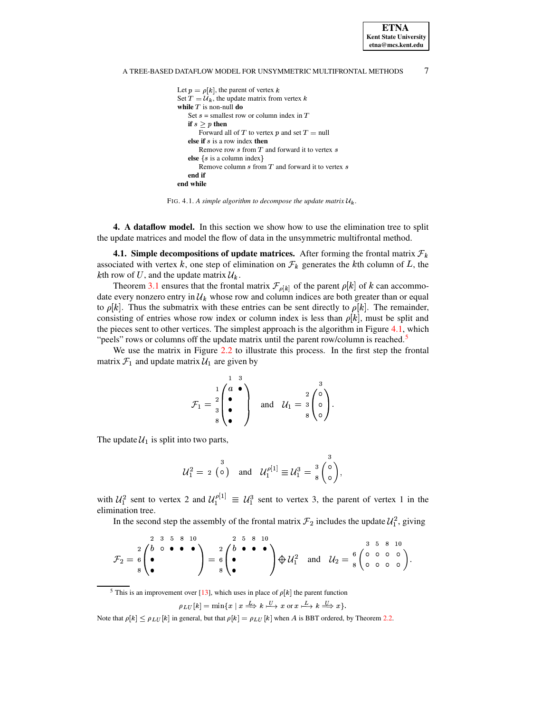#### $\tau$ A TREE-BASED DATAFLOW MODEL FOR UNSYMMETRIC MULTIFRONTAL METHODS

**ETNA Kent State University**  $etna@mcs. kent.edu$ 

```
Let p = \rho[k], the parent of vertex k
Set T = U_k, the update matrix from vertex k
while T is non-null {\bf do}Set s = smallest row or column index in Tif s > p then
       Forward all of T to vertex p and set T = nullelse if s is a row index then
       Remove row s from T and forward it to vertex selse \{s \text{ is a column index}\}Remove column s from T and forward it to vertex send if
end while
```
<span id="page-6-0"></span>FIG. 4.1. A simple algorithm to decompose the update matrix  $\mathcal{U}_k$ .

4. A dataflow model. In this section we show how to use the elimination tree to split the update matrices and model the flow of data in the unsymmetric multifrontal method.

**4.1. Simple decompositions of update matrices.** After forming the frontal matrix  $\mathcal{F}_k$ associated with vertex k, one step of elimination on  $\mathcal{F}_k$  generates the kth column of L, the kth row of U, and the update matrix  $\mathcal{U}_k$ .

Theorem 3.1 ensures that the frontal matrix  $\mathcal{F}_{\rho[k]}$  of the parent  $\rho[k]$  of k can accommodate every nonzero entry in  $\mathcal{U}_k$  whose row and column indices are both greater than or equal to  $\rho[k]$ . Thus the submatrix with these entries can be sent directly to  $\rho[k]$ . The remainder, consisting of entries whose row index or column index is less than  $\rho[k]$ , must be split and the pieces sent to other vertices. The simplest approach is the algorithm in Figure 4.1, which "peels" rows or columns off the update matrix until the parent row/column is reached.<sup>5</sup>

We use the matrix in Figure 2.2 to illustrate this process. In the first step the frontal matrix  $\mathcal{F}_1$  and update matrix  $\mathcal{U}_1$  are given by

$$
\mathcal{F}_1 = \frac{1}{3} \begin{pmatrix} 1 & 3 \\ a & \bullet \\ \bullet & \bullet \end{pmatrix} \quad \text{and} \quad \mathcal{U}_1 = \frac{2}{3} \begin{pmatrix} 3 \\ \circ \\ \circ \\ 8 \end{pmatrix}.
$$

The update  $\mathcal{U}_1$  is split into two parts,

$$
\mathcal{U}_1^2 = 2 \begin{pmatrix} 3 \\ 0 \end{pmatrix} \text{ and } \mathcal{U}_1^{\rho[1]} \equiv \mathcal{U}_1^3 = \frac{3}{8} \begin{pmatrix} 0 \\ 0 \end{pmatrix},
$$

with  $U_1^2$  sent to vertex 2 and  $U_1^{\rho[1]} \equiv U_1^3$  sent to vertex 3, the parent of vertex 1 in the elimination tree.

In the second step the assembly of the frontal matrix  $\mathcal{F}_2$  includes the update  $\mathcal{U}_1^2$ , giving

$$
\mathcal{F}_2 = \frac{2}{6} \begin{pmatrix} 2 & 3 & 5 & 8 & 10 \\ 0 & 0 & 0 & 0 & 0 \\ 0 & 0 & 0 & 0 & 0 \\ 0 & 0 & 0 & 0 & 0 \end{pmatrix} = \frac{2}{6} \begin{pmatrix} 2 & 5 & 8 & 10 \\ 0 & 0 & 0 & 0 \\ 0 & 0 & 0 & 0 \\ 0 & 0 & 0 & 0 & 0 \end{pmatrix} \oplus \mathcal{U}_1^2 \quad \text{and} \quad \mathcal{U}_2 = \frac{6}{8} \begin{pmatrix} 0 & 0 & 0 & 0 \\ 0 & 0 & 0 & 0 \\ 0 & 0 & 0 & 0 \end{pmatrix}.
$$

<sup>5</sup> This is an improvement over [13], which uses in place of  $\rho[k]$  the parent function

$$
\rho_{LU}[k] = \min\{x \mid x \stackrel{L}{\Longrightarrow} k \stackrel{U}{\longrightarrow} x \text{ or } x \stackrel{L}{\longrightarrow} k \stackrel{U}{\Longrightarrow} x\}.
$$

<span id="page-6-1"></span>Note that  $\rho[k] \le \rho_{LU}[k]$  in general, but that  $\rho[k] = \rho_{LU}[k]$  when A is BBT ordered, by Theorem 2.2.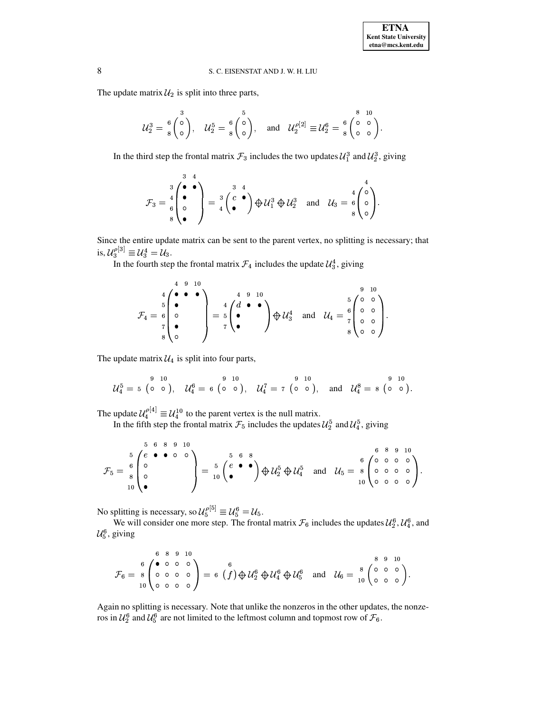The update matrix  $\mathcal{U}_2$  is split into three parts,

$$
\mathcal{U}_2^3 = \left(\begin{matrix} 3 \\ 0 \\ 0 \end{matrix}\right), \quad \mathcal{U}_2^5 = \left(\begin{matrix} 5 \\ 0 \\ 0 \end{matrix}\right), \quad \text{and} \quad \mathcal{U}_2^{\rho[2]} \equiv \mathcal{U}_2^6 = \left(\begin{matrix} 8 & 10 \\ 0 & 0 \\ 0 & 0 \end{matrix}\right).
$$

In the third step the frontal matrix  $\mathcal{F}_3$  includes the two updates  $\mathcal{U}_1^3$  and  $\mathcal{U}_2^3$ , giving

$$
\mathcal{F}_3 = \frac{3}{6} \begin{pmatrix} \bullet & \bullet \\ \bullet & \\ \bullet & \\ \bullet & \end{pmatrix} = \frac{3}{4} \begin{pmatrix} 3 & 4 \\ c & \bullet \\ \bullet & \end{pmatrix} \oplus \mathcal{U}_1^3 \oplus \mathcal{U}_2^3 \quad \text{and} \quad \mathcal{U}_3 = \frac{4}{8} \begin{pmatrix} 0 \\ 0 \\ 0 \\ \bullet \end{pmatrix}.
$$

Since the entire update matrix can be sent to the parent vertex, no splitting is necessary; that is,  $\mathcal{U}_{3}^{\rho[3]} \equiv \mathcal{U}_{3}^{4} = \mathcal{U}_{3}.$ 

In the fourth step the frontal matrix  $\mathcal{F}_4$  includes the update  $\mathcal{U}_3^4$ , giving

$$
\mathcal{F}_4 = \begin{pmatrix} 4 & 9 & 10 \\ 6 & \bullet & \bullet \\ 7 & \bullet & \bullet \\ 8 & 0 & \bullet \end{pmatrix} = \begin{pmatrix} 4 & 9 & 10 \\ 7 & \bullet & \bullet \\ 7 & \bullet & \bullet \end{pmatrix} \oplus \mathcal{U}_3^4 \quad \text{and} \quad \mathcal{U}_4 = \begin{pmatrix} 9 & 10 \\ 0 & \circ \\ 7 & \circ \\ 8 & 0 & \circ \end{pmatrix}.
$$

The update matrix  $U_4$  is split into four parts,

$$
\mathcal{U}_4^5 = 5 \begin{pmatrix} 9 & 10 \\ 0 & 0 \end{pmatrix}, \quad \mathcal{U}_4^6 = 6 \begin{pmatrix} 9 & 10 \\ 0 & 0 \end{pmatrix}, \quad \mathcal{U}_4^7 = 7 \begin{pmatrix} 9 & 10 \\ 0 & 0 \end{pmatrix}, \quad \text{and} \quad \mathcal{U}_4^8 = 8 \begin{pmatrix} 9 & 10 \\ 0 & 0 \end{pmatrix}.
$$

The update  $\mathcal{U}_4^{\rho[4]} \equiv \mathcal{U}_4^{10}$  to the parent vertex is the null matrix.

In the fifth step the frontal matrix  $\mathcal{F}_5$  includes the updates  $\mathcal{U}_2^5$  and  $\mathcal{U}_4^5$ , giving

$$
\mathcal{F}_5 = \begin{array}{c}5 & 6 & 8 & 9 & 10 \\ 6 & 6 & 8 & 9 & 10 \\ 8 & 0 & 0 & 0 \\ 10 & 0 & 0 & 0\end{array}\right) = \begin{array}{c}5 & 6 & 8 \\ 6 & 8 & 9 & 10 \\ 10 & 0 & 0 & 0\end{array}\n\bigoplus \mathcal{U}_2^5 \oplus \mathcal{U}_4^5 \quad \text{and} \quad \mathcal{U}_5 = \begin{array}{c}6 & 8 & 9 & 10 \\ 6 & 0 & 0 & 0 \\ 0 & 0 & 0 & 0 \\ 0 & 0 & 0 & 0\end{array}\bigg).
$$

No splitting is necessary, so  $\mathcal{U}_5^{\rho[5]} \equiv \mathcal{U}_5^6 = \mathcal{U}_5$ .

We will consider one more step. The frontal matrix  $\mathcal{F}_6$  includes the updates  $\mathcal{U}_2^6$ ,  $\mathcal{U}_4^6$ , and  $\mathcal{U}_5^6$ , giving

$$
\mathcal{F}_6 = \begin{array}{c} 6 & 8 & 9 & 10 \\ 8 & 0 & 0 & 0 \\ 10 & 0 & 0 & 0 \\ 10 & 0 & 0 & 0 \end{array} = 6 \left( f \right) \bigoplus \mathcal{U}_2^6 \bigoplus \mathcal{U}_4^6 \bigoplus \mathcal{U}_5^6 \quad \text{and} \quad \mathcal{U}_6 = \begin{array}{c} 8 & 9 & 10 \\ 0 & 0 & 0 \\ 10 & 0 & 0 \end{array} \right).
$$

Again no splitting is necessary. Note that unlike the nonzeros in the other updates, the nonzeros in  $\mathcal{U}_2^6$  and  $\mathcal{U}_5^6$  are not limited to the leftmost column and topmost row of  $\mathcal{F}_6$ .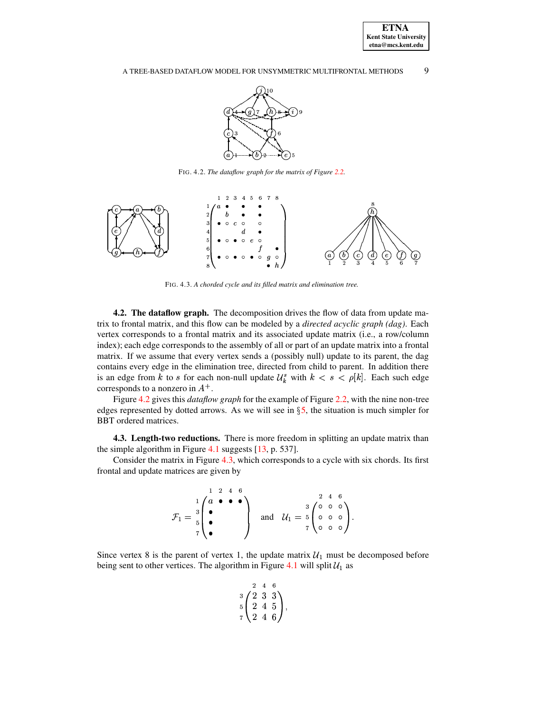# A TREE-BASED DATAFLOW MODEL FOR UNSYMMETRIC MULTIFRONTAL METHODS 9



FIG. 4.2. *The dataflow graph for the matrix of Figure [2.2.](#page-1-3)*

<span id="page-8-0"></span>

<span id="page-8-1"></span>FIG. 4.3. *A chorded cycle and its filled matrix and elimination tree.*

**4.2. The dataflow graph.** The decomposition drives the flow of data from update matrix to frontal matrix, and this flow can be modeled by a *directed acyclic graph (dag)*. Each vertex corresponds to a frontal matrix and its associated update matrix (i.e., a row/column index); each edge corresponds to the assembly of all or part of an update matrix into a frontal matrix. If we assume that every vertex sends a (possibly null) update to its parent, the dag contains every edge in the elimination tree, directed from child to parent. In addition there is an edge from k to s for each non-null update  $\mathcal{U}_k^s$  with  $k < s < \rho[k]$ . Each such edge corresponds to a nonzero in  $A^+$ .

Figure [4.2](#page-8-0) gives this *dataflow graph* for the example of Figure [2.2,](#page-1-3) with the nine non-tree edges represented by dotted arrows. As we will see in  $\S$ [5,](#page-9-0) the situation is much simpler for BBT ordered matrices.

**4.3. Length-two reductions.** There is more freedom in splitting an update matrix than the simple algorithm in Figure [4.1](#page-6-0) suggests [\[13,](#page-18-3) p. 537].

Consider the matrix in Figure [4.3,](#page-8-1) which corresponds to a cycle with six chords. Its first frontal and update matrices are given by

$$
\mathcal{F}_1 = \begin{array}{c} 1 & 2 & 4 & 6 \\ 1 & 2 & 4 & 6 \\ 2 & 0 & 0 & 0 \\ 5 & 7 & 2 & 2 \\ 6 & 0 & 0 & 7 \end{array} \text{ and } \mathcal{U}_1 = \begin{array}{c} 2 & 4 & 6 \\ 0 & 0 & 0 \\ 7 & 0 & 0 \\ 0 & 0 & 0 \end{array}.
$$

Since vertex 8 is the parent of vertex 1, the update matrix  $\mathcal{U}_1$  must be decomposed before being sent to other vertices. The algorithm in Figure [4.1](#page-6-0) will split  $\mathcal{U}_1$  as

$$
\begin{array}{c}\n2 \ 4 \ 6 \\
3 \ 2 \ 3 \ 3 \\
5 \ 2 \ 4 \ 5 \\
7 \ 2 \ 4 \ 6\n\end{array},
$$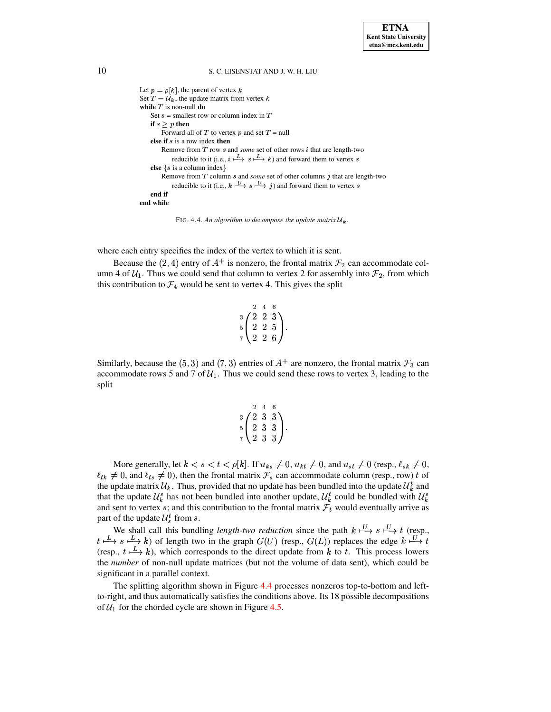```
Let p = \rho[k], the parent of vertex k
Set T = U_k, the update matrix from vertex k
while T is non-null do
    Set s = smallest row or column index in Tif s > p then
         Forward all of T to vertex p and set T = nullelse if s is a row index then
         Remove from T row s and some set of other rows i that are length-two
             reducible to it (i.e., i \stackrel{L}{\longrightarrow} s \stackrel{L}{\longrightarrow} k) and forward them to vertex s
    else \{s \text{ is a column index}\}\Remove from T column s and some set of other columns j that are length-two
             reducible to it (i.e., k \stackrel{U}{\longrightarrow} s \stackrel{U}{\longrightarrow} j) and forward them to vertex s
    end if
end while
```
<span id="page-9-1"></span>FIG. 4.4. An algorithm to decompose the update matrix  $\mathcal{U}_k$ .

where each entry specifies the index of the vertex to which it is sent.

Because the (2, 4) entry of  $A^+$  is nonzero, the frontal matrix  $\mathcal{F}_2$  can accommodate column 4 of  $\mathcal{U}_1$ . Thus we could send that column to vertex 2 for assembly into  $\mathcal{F}_2$ , from which this contribution to  $\mathcal{F}_4$  would be sent to vertex 4. This gives the split

$$
\begin{array}{c}\n \stackrel{2}{3} & \stackrel{4}{2} & \stackrel{6}{3} \\
 \stackrel{5}{5} & \stackrel{2}{2} & \stackrel{2}{5} \\
 \stackrel{7}{2} & \stackrel{2}{2} & \stackrel{6}{6}\n \end{array}
$$

Similarly, because the (5,3) and (7,3) entries of  $A^+$  are nonzero, the frontal matrix  $\mathcal{F}_3$  can accommodate rows 5 and 7 of  $\mathcal{U}_1$ . Thus we could send these rows to vertex 3, leading to the split

$$
\begin{array}{c}\n2 \ 4 \ 6 \\
3 \ \n\left(\n\begin{array}{ccc}\n2 & 3 & 3 \\
2 & 3 & 3 \\
2 & 3 & 3\n\end{array}\n\right)\n\end{array}
$$

More generally, let  $k < s < t < \rho[k]$ . If  $u_{ks} \neq 0$ ,  $u_{kt} \neq 0$ , and  $u_{st} \neq 0$  (resp.,  $\ell_{sk} \neq 0$ ,  $\ell_{tk} \neq 0$ , and  $\ell_{ts} \neq 0$ ), then the frontal matrix  $\mathcal{F}_s$  can accommodate column (resp., row) t of the update matrix  $\mathcal{U}_k$ . Thus, provided that no update has been bundled into the update  $\mathcal{U}_k^t$  and that the update  $\mathcal{U}_k^s$  has not been bundled into another update,  $\mathcal{U}_k^t$  could be bundled with  $\mathcal{U}_k^s$ and sent to vertex s; and this contribution to the frontal matrix  $\mathcal{F}_t$  would eventually arrive as part of the update  $\mathcal{U}_s^t$  from s.

We shall call this bundling *length-two reduction* since the path  $k \stackrel{U}{\longmapsto} s \stackrel{U}{\longmapsto} t$  (resp.,  $t \stackrel{L}{\longmapsto} s \stackrel{L}{\longmapsto} k$  of length two in the graph  $G(U)$  (resp.,  $G(L)$ ) replaces the edge  $k \stackrel{U}{\longmapsto} t$ (resp.,  $t \stackrel{L}{\longmapsto} k$ ), which corresponds to the direct update from k to t. This process lowers the number of non-null update matrices (but not the volume of data sent), which could be significant in a parallel context.

<span id="page-9-0"></span>The splitting algorithm shown in Figure 4.4 processes nonzeros top-to-bottom and leftto-right, and thus automatically satisfies the conditions above. Its 18 possible decompositions of  $U_1$  for the chorded cycle are shown in Figure 4.5.

10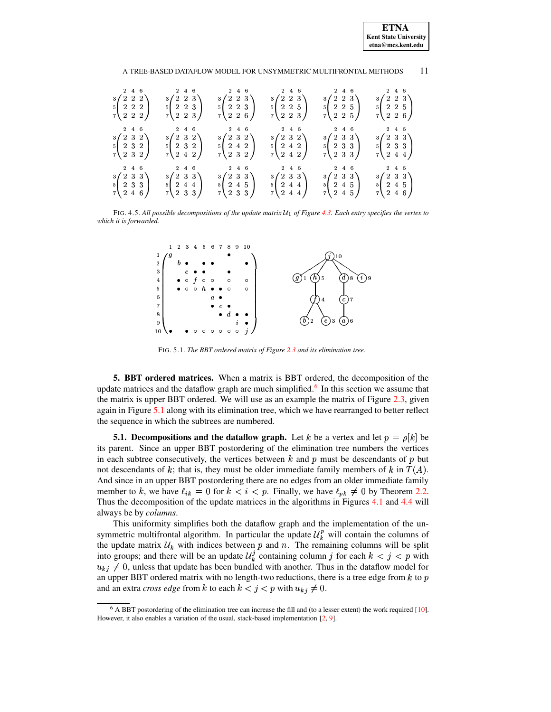**ETNA Kent State University etna@mcs.kent.edu**

## A TREE-BASED DATAFLOW MODEL FOR UNSYMMETRIC MULTIFRONTAL METHODS 11

| 2 4 6<br>$\begin{array}{c} \texttt{3}\!\!\left(\begin{array}{c c c c} \texttt{2} & \texttt{2} & \texttt{2} \\ \texttt{2} & \texttt{2} & \texttt{2} \\ \texttt{7} & \texttt{2} & \texttt{2} & \texttt{2} \end{array}\right) \end{array}$ | 2 4 6<br>$\begin{array}{c}3\left( \begin{array}{ccc} 2 & 2 & 3 \\ 2 & 2 & 3 \\ 2 & 2 & 3 \end{array} \right)\end{array}$ | 2 4 6<br>$\begin{array}{c} 3 \begin{pmatrix} 2 & 2 & 3 \\ 2 & 2 & 3 \\ 2 & 2 & 6 \end{pmatrix} \end{array}$                                                                                                                                                                     | 2 4 6<br>$\begin{array}{c} 3 \left( \begin{array}{ccc} 2 & 2 & 3 \\ 2 & 2 & 5 \\ 2 & 2 & 3 \end{array} \right) \end{array}$         | 2 4 6<br>$\begin{array}{c} 3 \left( \begin{array}{ccc} 2 & 2 & 3 \\ 2 & 2 & 5 \\ 2 & 2 & 5 \end{array} \right) \end{array}$                                                                                                                                                                                                                                                                                                                                                | 2 4 6<br>$\begin{array}{c}3 \begin{pmatrix} 2 & 2 & 3 \\ 2 & 2 & 5 \\ 7 & 2 & 6 \end{pmatrix} \end{array}$ |
|-----------------------------------------------------------------------------------------------------------------------------------------------------------------------------------------------------------------------------------------|--------------------------------------------------------------------------------------------------------------------------|---------------------------------------------------------------------------------------------------------------------------------------------------------------------------------------------------------------------------------------------------------------------------------|-------------------------------------------------------------------------------------------------------------------------------------|----------------------------------------------------------------------------------------------------------------------------------------------------------------------------------------------------------------------------------------------------------------------------------------------------------------------------------------------------------------------------------------------------------------------------------------------------------------------------|------------------------------------------------------------------------------------------------------------|
| 2 4 6<br>$\begin{array}{c} 3 \left( \begin{array}{ccc} 2 & 3 & 2 \\ 2 & 3 & 2 \\ 2 & 3 & 2 \end{array} \right) \\ 7 \end{array}$                                                                                                        | 2 4 6                                                                                                                    | $\begin{array}{ccc} & 2 & 4 & 6 \end{array}$                                                                                                                                                                                                                                    | 246                                                                                                                                 | 2 4 6<br>$\begin{array}{c c} 3 \left( \begin{array}{ccc} 2 & 3 & 2 \\ 2 & 3 & 2 \\ \end{array} \right) & \begin{array}{ccc} 3 \left( \begin{array}{ccc} 2 & 3 & 2 \\ 2 & 4 & 2 \\ \end{array} \right) & \begin{array}{ccc} 3 \left( \begin{array}{ccc} 2 & 3 & 2 \\ 2 & 4 & 2 \\ \end{array} \right) & \begin{array}{ccc} 3 \left( \begin{array}{ccc} 2 & 3 & 3 \\ 2 & 4 & 2 \\ \end{array} \right) & \begin{array}{ccc} 3 \left( \begin{array}{ccc} 2 & 3 & 3 \\ 2 & 3 &$ | 2 4 6                                                                                                      |
| $2\quad 4\quad 6$<br>$\begin{array}{c} \textbf{3}\!\!\! \left(\!\!\begin{array}{ccc} 2 & 3 & 3 \\ 2 & 3 & 3 \\ 2 & 4 & 6 \end{array}\!\!\right) \end{array}$                                                                            | 2 4 6                                                                                                                    | $\begin{array}{ccc} & 2 & 4 & 6 \end{array}$<br>$\begin{array}{c} 3\left( \begin{array}{ccc} 2 & 3 & 3 \\ 2 & 4 & 4 \\ 7 & 2 & 3 & 3 \end{array} \right) & \begin{array}{c} 3\left( \begin{array}{ccc} 2 & 3 & 3 \\ 2 & 4 & 5 \\ 7 & 2 & 3 & 3 \end{array} \right) \end{array}$ | $\begin{array}{c} \n \phantom{0}3 \ \begin{pmatrix} 2 & 4 & 6 \\ 2 & 3 & 3 \\ 2 & 4 & 4 \\ 7 & 2 & 4 & 4 \end{pmatrix} \end{array}$ | $\begin{array}{c} 2\  \  \, 4\  \  \, 6 \\ 5\left( \begin{array}{ccc} 2 & 3 & 3 \\ 2 & 4 & 5 \\ 2 & 4 & 5 \end{array} \right) \end{array}$                                                                                                                                                                                                                                                                                                                                 | 2 4 6<br>$\begin{array}{c}3\begin{pmatrix}2&3&3\\2&4&5\\7&2&4&6\end{pmatrix}\end{array}$                   |

<span id="page-10-0"></span>FIG. 4.5. All possible decompositions of the update matrix  $\mathcal{U}_1$  of Figure [4.3.](#page-8-1) Each entry specifies the vertex to *which it is forwarded.*



FIG. 5.1. *The BBT ordered matrix of Figure [2.3](#page-3-0) and its elimination tree.*

<span id="page-10-2"></span>**5. BBT ordered matrices.** When a matrix is BBT ordered, the decomposition of the update matrices and the dataflow graph are much simplified.<sup>[6](#page-10-1)</sup> In this section we assume that the matrix is upper BBT ordered. We will use as an example the matrix of Figure [2.3,](#page-3-0) given again in Figure [5.1](#page-10-2) along with its elimination tree, which we have rearranged to better reflect the sequence in which the subtrees are numbered.

<span id="page-10-3"></span>**5.1.** Decompositions and the dataflow graph. Let k be a vertex and let  $p = \rho[k]$  be its parent. Since an upper BBT postordering of the elimination tree numbers the vertices in each subtree consecutively, the vertices between  $k$  and  $p$  must be descendants of  $p$  but not descendants of k; that is, they must be older immediate family members of k in  $T(A)$ . And since in an upper BBT postordering there are no edges from an older immediate family member to k, we have  $\ell_{ik} = 0$  for  $k < i < p$ . Finally, we have  $\ell_{pk} \neq 0$  by Theorem [2.2.](#page-2-0) Thus the decomposition of the update matrices in the algorithms in Figures [4.1](#page-6-0) and [4.4](#page-9-1) will always be by *columns*.

This uniformity simplifies both the dataflow graph and the implementation of the unsymmetric multifrontal algorithm. In particular the update  $\mathcal{U}_k^p$  will contain the columns of the update matrix  $\mathcal{U}_k$  with indices between p and n. The remaining columns will be split into groups; and there will be an update  $\mathcal{U}_k^j$  containing column j for each  $k < j < p$  with  $u_{k,i} \neq 0$ , unless that update has been bundled with another. Thus in the dataflow model for  $u_{kj} \neq 0$ , unless that update has been bundled with another. Thus in the dataflow model for an upper BBT ordered matrix with no length-two reductions, there is a tree edge from k to p and an extra *cross edge* from k to each  $k < j < p$  with  $u_{kj} \neq 0$ .

<span id="page-10-1"></span> $6$  A BBT postordering of the elimination tree can increase the fill and (to a lesser extent) the work required [\[10\]](#page-18-8). However, it also enables a variation of the usual, stack-based implementation [\[2,](#page-18-11) [9\]](#page-18-2).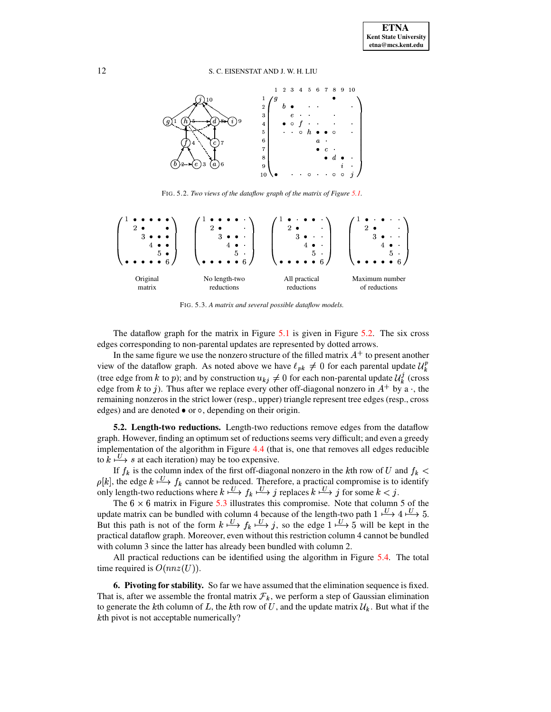12 S. C. EISENSTAT AND J. W. H. LIU



FIG. 5.2. *Two views of the dataflow graph of the matrix of Figure [5.1.](#page-10-2)*

<span id="page-11-0"></span>

<span id="page-11-1"></span>FIG. 5.3. *A matrix and several possible dataflow models.*

The dataflow graph for the matrix in Figure [5.1](#page-10-2) is given in Figure [5.2.](#page-11-0) The six cross edges corresponding to non-parental updates are represented by dotted arrows.

In the same figure we use the nonzero structure of the filled matrix  $A^+$  to present another view of the dataflow graph. As noted above we have  $\ell_{pk} \neq 0$  for each parental update  $\mathcal{U}_k^p$ (tree edge from k to p); and by construction  $u_{kj} \neq 0$  for each non-parental update  $\mathcal{U}_{k}^{j}$  (cross edge from k to j). Thus after we replace every other off-diagonal nonzero in  $A^+$  by a, the remaining nonzeros in the strict lower (resp., upper) triangle represent tree edges (resp., cross edges) and are denoted  $\bullet$  or  $\circ$ , depending on their origin.

**5.2. Length-two reductions.** Length-two reductions remove edges from the dataflow graph. However, finding an optimum set of reductions seems very difficult; and even a greedy implementation of the algorithm in Figure  $4.4$  (that is, one that removes all edges reducible to  $k \stackrel{\text{U}}{\longrightarrow} s$  at each iteration) may be too expensive.

If  $f_k$  is the column index of the first off-diagonal nonzero in the kth row of U and  $f_k$  <  $\rho[k]$ , the edge  $k \stackrel{U}{\longrightarrow} f_k$  cannot be reduced. Therefore, a practical compromise is to identify  $k$  cannot be reduced. Therefore, a practical compromise is to identify only length-two reductions where  $k \stackrel{\cup}{\longrightarrow} f_k \stackrel{\cup}{\longrightarrow} j$  replaces  $k \stackrel{\cup}{\longrightarrow} j$  for some  $k < j$ .

The  $6 \times 6$  matrix in Figure [5.3](#page-11-1) illustrates this compromise. Note that column 5 of the update matrix can be bundled with column 4 because of the length-two path  $1 \stackrel{U}{\longmapsto} 4 \stackrel{U}{\longmapsto} 5$ . But this path is not of the form  $k \stackrel{\text{U}}{\longrightarrow} f_k \stackrel{\text{U}}{\longrightarrow} j$ , so the edge  $1 \stackrel{\text{U}}{\longrightarrow} 5$  will be kept in the practical dataflow graph. Moreover, even without this restriction column 4 cannot be bundled with column 3 since the latter has already been bundled with column 2.

All practical reductions can be identified using the algorithm in Figure [5.4.](#page-12-0) The total time required is  $O(nnz(U))$ .

<span id="page-11-2"></span>**6. Pivoting for stability.** So far we have assumed that the elimination sequence is fixed. That is, after we assemble the frontal matrix  $\mathcal{F}_k$ , we perform a step of Gaussian elimination to generate the kth column of L, the kth row of U, and the update matrix  $\mathcal{U}_k$ . But what if the  $k$ th pivot is not acceptable numerically?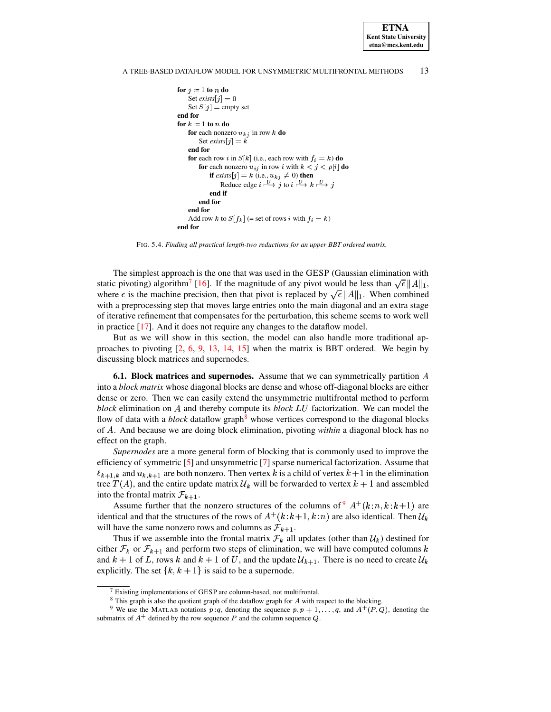### A TREE-BASED DATAFLOW MODEL FOR UNSYMMETRIC MULTIFRONTAL METHODS 13

```
for j \coloneqq 1 to n do
     Set exists[j] = 0Set S[j] = empty set
end for
for k \coloneqq 1 to n do
     for each nonzero u_{ki} in row k do
          Set exists j \, | \, k\mathbf{r} and \mathbf{r} and \mathbf{r}end for
     for each row i in S[k] (i.e., each row with f_i = k) do
          for each nonzero u_{ij} in row i with f_i = k do<br>for each nonzero u_{ij} in row i with k < j < \rho[i] do
               each nonzero u_{ij} in row i with k < j < \rho[i] do<br>
if exists[j] = k (i.e., u_{kj} \neq 0) then<br>
Reduce edge i \xrightarrow{U} j to i \xrightarrow{U} k \xrightarrow{U} jend if
         end for
    end for
     Add row k to S[f_k] (= set of rows i with f_i = k)
end for
```
FIG. 5.4. *Finding all practical length-two reductions for an upper BBT ordered matrix.*

<span id="page-12-0"></span>The simplest approach is the one that was used in the GESP (Gaussian elimination with static pivoting) algorithm<sup>[7](#page-12-1)</sup> [\[16\]](#page-18-12). If the magnitude of any pivot would be less than  $\sqrt{\epsilon} ||A||_1$ , where  $\epsilon$  is the machine precision, then that pivot is replaced by  $\sqrt{\epsilon} ||A||_1$ . When combined with a preprocessing step that moves large entries onto the main diagonal and an extra stage of iterative refinement that compensates for the perturbation, this scheme seems to work well in practice [\[17\]](#page-18-13). And it does not require any changes to the dataflow model.

But as we will show in this section, the model can also handle more traditional approaches to pivoting  $[2, 6, 9, 13, 14, 15]$  $[2, 6, 9, 13, 14, 15]$  $[2, 6, 9, 13, 14, 15]$  $[2, 6, 9, 13, 14, 15]$  $[2, 6, 9, 13, 14, 15]$  $[2, 6, 9, 13, 14, 15]$  $[2, 6, 9, 13, 14, 15]$  $[2, 6, 9, 13, 14, 15]$  $[2, 6, 9, 13, 14, 15]$  $[2, 6, 9, 13, 14, 15]$  $[2, 6, 9, 13, 14, 15]$  when the matrix is BBT ordered. We begin by discussing block matrices and supernodes.

**6.1. Block matrices and supernodes.** Assume that we can symmetrically partition into a *block matrix* whose diagonal blocks are dense and whose off-diagonal blocks are either dense or zero. Then we can easily extend the unsymmetric multifrontal method to perform block elimination on A and thereby compute its *block LU* factorization. We can model the flow of data with a *block* dataflow graph<sup>[8](#page-12-2)</sup> whose vertices correspond to the diagonal blocks of . And because we are doing block elimination, pivoting *within* a diagonal block has no effect on the graph.

*Supernodes* are a more general form of blocking that is commonly used to improve the efficiency of symmetric [\[5\]](#page-18-14) and unsymmetric [\[7\]](#page-18-15) sparse numerical factorization. Assume that  $\ell_{k+1,k}$  and  $u_{k,k+1}$  are both nonzero. Then vertex k is a child of vertex  $k+1$  in the elimination tree  $T(A)$ , and the entire update matrix  $\mathcal{U}_k$  will be forwarded to vertex  $k+1$  and assembled into the frontal matrix  $\mathcal{F}_{k+1}$ .

Assume further that the nonzero structures of the columns of  $A^+(k:n, k:k+1)$  are tical and that the structures of the rows of  $A^+(k:k+1, k:n)$  are also identical. Then  $\mathcal{U}_k$ identical and that the structures of the rows of  $A^+(k:k+1, k:n)$  are also identical. Then  $\mathcal{U}_k$  will have the same nonzero rows and columns as  $\mathcal{F}_{k+1}$ . will have the same nonzero rows and columns as  $\mathcal{F}_{k+1}$ .

Thus if we assemble into the frontal matrix  $\mathcal{F}_k$  all updates (other than  $\mathcal{U}_k$ ) destined for either  $\mathcal{F}_k$  or  $\mathcal{F}_{k+1}$  and perform two steps of elimination, we will have computed columns k and  $k + 1$  of L, rows k and  $k + 1$  of U, and the update  $\mathcal{U}_{k+1}$ . There is no need to create  $\mathcal{U}_k$ explicitly. The set  $\{k, k+1\}$  is said to be a supernode.

 $7$  Existing implementations of GESP are column-based, not multifrontal.

 $8$  This graph is also the quotient graph of the dataflow graph for  $A$  with respect to the blocking.

<span id="page-12-3"></span><span id="page-12-2"></span><span id="page-12-1"></span><sup>&</sup>lt;sup>9</sup> We use the MATLAB notations  $p:q$ , denoting the sequence  $p, p + 1, \ldots, q$ , and  $A^+(P, Q)$ , denoting the submatrix of  $A^+$  defined by the row sequence P and the column sequence Q.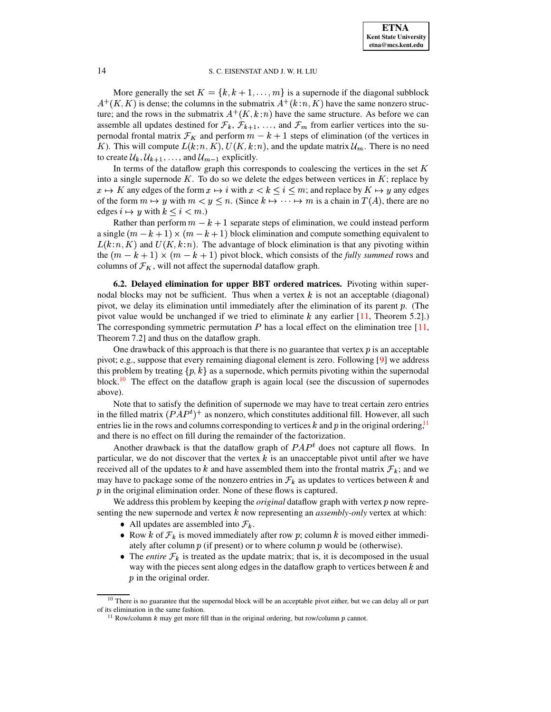More generally the set  $K = \{k, k+1, \ldots, m\}$  is a supernode if the diagonal subblock  $K, K$  is dense; the columns in the submatrix  $A^+(k:n, K)$  have the same nonzero struc-Wore generally the set  $K = \{k, k+1, \ldots, m\}$  is a superflode if the diagonal subblock  $A^+(K, K)$  is dense; the columns in the submatrix  $A^+(k:n, K)$  have the same nonzero structure; and the rows in the submatrix  $A^+(K, k:n)$  hav ture; and the rows in the submatrix  $A^+(K, k:n)$  have the same structure. As before we can assemble all updates destined for  $\mathcal{F}_k$ ,  $\mathcal{F}_{k+1}$ , ..., and  $\mathcal{F}_m$  from earlier vertices into the suassemble all updates destined for  $\mathcal{F}_k$ ,  $\mathcal{F}_{k+1}$ , ..., and  $\mathcal{F}_m$  from earlier vertices into the supernodal frontal matrix  $\mathcal{F}_K$  and perform  $m - k + 1$  steps of elimination (of the vertices in K). This will compute  $L(k:n, K)$ ,  $U(K, k:n)$ , and the update matrix  $\mathcal{U}_m$ . There is no need to create  $\mathcal{U}_k, \mathcal{U}_{k+1}, \ldots$  and  $\mathcal{U}_{m-1}$  explicitly. to create  $\mathcal{U}_k, \mathcal{U}_{k+1}, \ldots$ , and  $\mathcal{U}_{m-1}$  explicitly.

In terms of the dataflow graph this corresponds to coalescing the vertices in the set  $K$ into a single supernode  $K$ . To do so we delete the edges between vertices in  $K$ ; replace by  $x \mapsto K$  any edges of the form  $x \mapsto i$  with  $x < k \le i \le m$ ; and replace by  $K \mapsto y$  any edges of the form  $m \mapsto y$  with  $m < y \leq n$ . (Since  $k \mapsto \cdots \mapsto m$  is a chain in  $T(A)$ , there are no edges  $i \mapsto y$  with  $k \leq i < m$ .)

Rather than perform  $m - k + 1$  separate steps of elimination, we could instead perform a single  $(m - k + 1) \times (m - k + 1)$  block elimination and compute something equivalent to  $L(k:n, K)$  and  $U(K, k:n)$ . The advantage of block elimination is that any pivoting within the  $(m - k + 1) \times (m - k + 1)$  pivot block, which consists of the *fully summed* rows and the  $(m - k + 1) \times (m - k + 1)$  pivot block, which consists of the *fully* summed rows and columns of  $\mathcal{F}_K$ , will not affect the supernodal dataflow graph.

**6.2. Delayed elimination for upper BBT ordered matrices.** Pivoting within supernodal blocks may not be sufficient. Thus when a vertex  $k$  is not an acceptable (diagonal) pivot, we delay its elimination until immediately after the elimination of its parent  $p$ . (The pivot value would be unchanged if we tried to eliminate  $k$  any earlier [\[11,](#page-18-4) Theorem 5.2].) The corresponding symmetric permutation  $P$  has a local effect on the elimination tree [\[11,](#page-18-4) Theorem 7.2] and thus on the dataflow graph.

One drawback of this approach is that there is no guarantee that vertex  $\hat{p}$  is an acceptable pivot; e.g., suppose that every remaining diagonal element is zero. Following [\[9\]](#page-18-2) we address this problem by treating  $\{p, k\}$  as a supernode, which permits pivoting within the supernodal this problem by treating  $\{p, k\}$  as a supernode, which permits pivoting within the supernodal block.<sup>[10](#page-13-0)</sup> The effect on the dataflow graph is again local (see the discussion of supernodes above).

Note that to satisfy the definition of supernode we may have to treat certain zero entries in the filled matrix  $(PAP<sup>t</sup>)<sup>+</sup>$  as nonzero, which constitutes additional fill. However, all such entries lie in the rows and columns corresponding to vertices  $k$  and  $p$  in the original ordering,<sup>[11](#page-13-1)</sup> and there is no effect on fill during the remainder of the factorization.

Another drawback is that the dataflow graph of  $PAP<sup>t</sup>$  does not capture all flows. In particular, we do not discover that the vertex  $k$  is an unacceptable pivot until after we have received all of the updates to k and have assembled them into the frontal matrix  $\mathcal{F}_k$ ; and we may have to package some of the nonzero entries in  $\mathcal{F}_k$  as updates to vertices between k and  $\hat{p}$  in the original elimination order. None of these flows is captured.

We address this problem by keeping the *original* dataflow graph with vertex p now representing the new supernode and vertex  $k$  now representing an *assembly-only* vertex at which:

- All updates are assembled into  $\mathcal{F}_k$ .
- Row k of  $\mathcal{F}_k$  is moved immediately after row p; column k is moved either immediately after column  $p$  (if present) or to where column  $p$  would be (otherwise).
- The *entire*  $\mathcal{F}_k$  is treated as the update matrix; that is, it is decomposed in the usual way with the pieces sent along edges in the dataflow graph to vertices between  $k$  and  $\dot{p}$  in the original order.

<span id="page-13-1"></span><span id="page-13-0"></span><sup>&</sup>lt;sup>10</sup> There is no guarantee that the supernodal block will be an acceptable pivot either, but we can delay all or part of its elimination in the same fashion.

<sup>&</sup>lt;sup>11</sup> Row/column  $k$  may get more fill than in the original ordering, but row/column  $p$  cannot.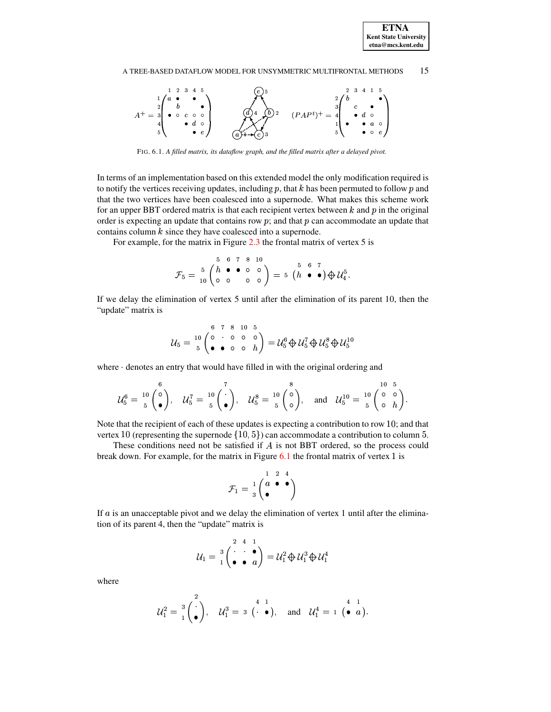**ETNA Kent State University**  $etna@mcs. kent.edu$ 

#### 15 A TREE-BASED DATAFLOW MODEL FOR UNSYMMETRIC MULTIFRONTAL METHODS



FIG. 6.1. A filled matrix, its dataflow graph, and the filled matrix after a delayed pivot.

<span id="page-14-0"></span>In terms of an implementation based on this extended model the only modification required is to notify the vertices receiving updates, including  $p$ , that  $k$  has been permuted to follow  $p$  and that the two vertices have been coalesced into a supernode. What makes this scheme work for an upper BBT ordered matrix is that each recipient vertex between  $k$  and  $p$  in the original order is expecting an update that contains row  $p$ ; and that  $p$  can accommodate an update that contains column  $k$  since they have coalesced into a supernode.

For example, for the matrix in Figure  $2.3$  the frontal matrix of vertex 5 is

$$
\mathcal{F}_5 = \begin{array}{c c c c c c} 5 & 6 & 7 & 8 & 10 \\ 5 & 6 & 6 & 0 & 0 \\ 10 & 0 & 0 & 0 & 0 \end{array} = 5 \begin{array}{c c c c} 5 & 6 & 7 \\ 7 & 6 & 0 \end{array} \bigoplus \mathcal{U}_4^5.
$$

If we delay the elimination of vertex 5 until after the elimination of its parent 10, then the "update" matrix is

$$
\mathcal{U}_5 = \begin{array}{c} 6 & 7 & 8 & 10 & 5 \\ 10 & 6 & 0 & 0 & 0 \\ 5 & 6 & 0 & 0 & h \end{array} = \mathcal{U}_5^6 \bigoplus \mathcal{U}_5^7 \bigoplus \mathcal{U}_5^8 \bigoplus \mathcal{U}_5^{10}
$$

where denotes an entry that would have filled in with the original ordering and

$$
\mathcal{U}_5^6 = \frac{10}{5} \begin{pmatrix} 6 \\ 0 \\ 0 \end{pmatrix}, \quad \mathcal{U}_5^7 = \frac{10}{5} \begin{pmatrix} 7 \\ 0 \\ 0 \end{pmatrix}, \quad \mathcal{U}_5^8 = \frac{10}{5} \begin{pmatrix} 8 \\ 0 \\ 0 \end{pmatrix}, \quad \text{and} \quad \mathcal{U}_5^{10} = \frac{10}{5} \begin{pmatrix} 0 & 5 \\ 0 & h \end{pmatrix}.
$$

Note that the recipient of each of these updates is expecting a contribution to row  $10$ ; and that vertex 10 (representing the supernode  $\{10, 5\}$ ) can accommodate a contribution to column 5.

These conditions need not be satisfied if  $A$  is not BBT ordered, so the process could break down. For example, for the matrix in Figure  $6.1$  the frontal matrix of vertex 1 is

$$
\mathcal{F}_1 = \frac{1}{3} \begin{pmatrix} 1 & 2 & 4 \\ a & \bullet & \bullet \\ \bullet & & \end{pmatrix}
$$

If  $a$  is an unacceptable pivot and we delay the elimination of vertex 1 until after the elimination of its parent 4, then the "update" matrix is

$$
\mathcal{U}_1 = \begin{array}{c} 2 & 4 & 1 \\ 1 & \bullet & \bullet \\ \bullet & \bullet & a \end{array} = \mathcal{U}_1^2 \oplus \mathcal{U}_1^3 \oplus \mathcal{U}_1^4
$$

where

$$
\mathcal{U}_1^2 = \frac{3}{1} \begin{pmatrix} 2 \\ 0 \end{pmatrix}, \quad \mathcal{U}_1^3 = 3 \begin{pmatrix} 4 & 1 \\ 0 & 0 \end{pmatrix}, \quad \text{and} \quad \mathcal{U}_1^4 = 1 \begin{pmatrix} 4 & 1 \\ 0 & a \end{pmatrix}.
$$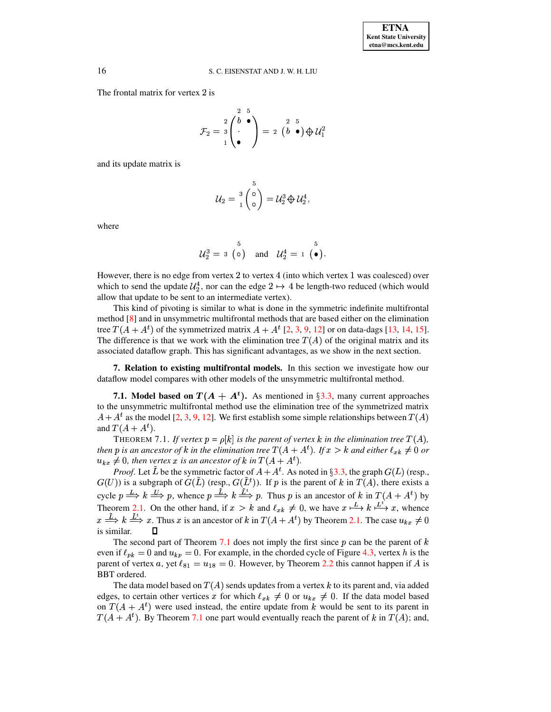The frontal matrix for vertex 2 is

$$
\mathcal{F}_2 = \begin{array}{c} 2 \\ 3 \\ 1 \end{array} \begin{pmatrix} 2 & 5 \\ 6 & 0 \\ 1 & 0 \end{pmatrix} = 2 \begin{pmatrix} 2 & 5 \\ 6 & 0 \end{pmatrix} \oplus \mathcal{U}_1^2
$$

and its update matrix is

$$
\mathcal{U}_2 = \begin{array}{c} 3 \\ 1 \end{array} \begin{pmatrix} 0 \\ 0 \end{pmatrix} = \mathcal{U}_2^3 \bigoplus \mathcal{U}_2^4,
$$

where

$$
\mathcal{U}_2^3 = 3 \begin{pmatrix} 5 \\ 0 \end{pmatrix} \quad \text{and} \quad \mathcal{U}_2^4 = 1 \begin{pmatrix} 5 \\ 0 \end{pmatrix}.
$$

However, there is no edge from vertex 2 to vertex 4 (into which vertex 1 was coalesced) over which to send the update  $\mathcal{U}_2^4$ , nor can the edge  $2 \mapsto 4$  be length-two reduced (which would allow that update to be sent to an intermediate vertex).

This kind of pivoting is similar to what is done in the symmetric indefinite multifrontal method [8] and in unsymmetric multifrontal methods that are based either on the elimination tree  $T(A + A<sup>t</sup>)$  of the symmetrized matrix  $A + A<sup>t</sup>$  [2, 3, 9, 12] or on data-dags [13, 14, 15]. The difference is that we work with the elimination tree  $T(A)$  of the original matrix and its associated dataflow graph. This has significant advantages, as we show in the next section.

7. Relation to existing multifrontal models. In this section we investigate how our dataflow model compares with other models of the unsymmetric multifrontal method.

7.1. Model based on  $T(A + A<sup>t</sup>)$ . As mentioned in §3.3, many current approaches to the unsymmetric multifrontal method use the elimination tree of the symmetrized matrix  $A + A<sup>t</sup>$  as the model [2, 3, 9, 12]. We first establish some simple relationships between  $T(A)$ and  $T(A+A^t)$ .

<span id="page-15-0"></span>THEOREM 7.1. If vertex  $p = \rho[k]$  is the parent of vertex k in the elimination tree  $T(A)$ , then p is an ancestor of k in the elimination tree  $T(A + A<sup>t</sup>)$ . If  $x > k$  and either  $\ell_{xk} \neq 0$  or  $u_{kx} \neq 0$ , then vertex x is an ancestor of k in  $T(A + A<sup>t</sup>)$ .

*Proof.* Let  $\tilde{L}$  be the symmetric factor of  $A + A^t$ . As noted in §3.3, the graph  $G(L)$  (resp.,  $G(U)$ ) is a subgraph of  $G(\tilde{L})$  (resp.,  $G(\tilde{L}^t)$ ). If p is the parent of k in  $T(A)$ , there exists a cycle  $p \stackrel{L}{\Longrightarrow} k \stackrel{U}{\Longrightarrow} p$ , whence  $p \stackrel{L}{\Longrightarrow} k \stackrel{L}{\Longrightarrow} p$ . Thus p is an ancestor of k in  $T(A + A^t)$  by Theorem 2.1. On the other hand, if  $x > k$  and  $\ell_{x_k} \neq 0$ , we have  $x \stackrel{L}{\longmapsto} k \stackrel{L^t}{\longmapsto} x$ , whence  $x \stackrel{\tilde{L}}{\Longrightarrow} k \stackrel{\tilde{L}^t}{\Longrightarrow} x$ . Thus x is an ancestor of k in  $T(A + A^t)$  by Theorem 2.1. The case  $u_{kx} \neq 0$ is similar.  $\Box$ 

The second part of Theorem 7.1 does not imply the first since  $p$  can be the parent of  $k$ even if  $\ell_{pk} = 0$  and  $u_{kp} = 0$ . For example, in the chorded cycle of Figure 4.3, vertex h is the parent of vertex a, yet  $\ell_{81} = u_{18} = 0$ . However, by Theorem 2.2 this cannot happen if A is **BBT** ordered.

The data model based on  $T(A)$  sends updates from a vertex k to its parent and, via added edges, to certain other vertices x for which  $\ell_{x_k} \neq 0$  or  $u_{k_x} \neq 0$ . If the data model based on  $T(A + A<sup>t</sup>)$  were used instead, the entire update from k would be sent to its parent in  $T(A + A<sup>t</sup>)$ . By Theorem 7.1 one part would eventually reach the parent of k in  $T(A)$ ; and,

16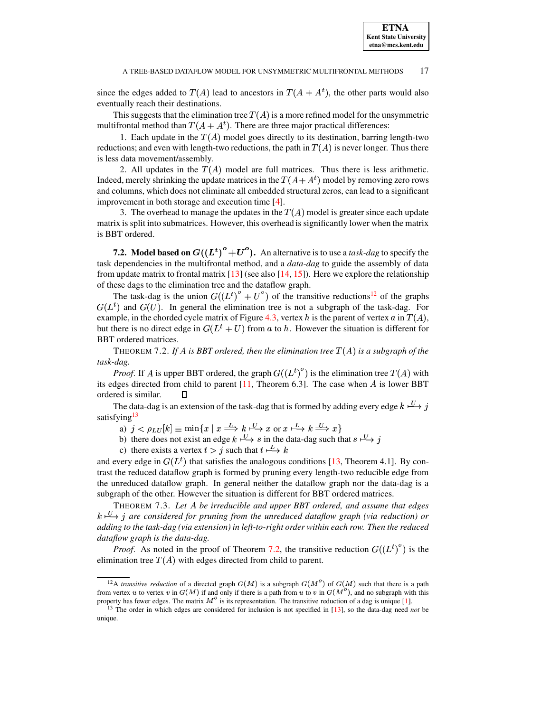since the edges added to  $T(A)$  lead to ancestors in  $T(A + A<sup>t</sup>)$ , the other parts would also eventually reach their destinations.

This suggests that the elimination tree  $T(A)$  is a more refined model for the unsymmetric multifrontal method than  $T(A + A<sup>t</sup>)$ . There are three major practical differences:

1. Each update in the  $T(A)$  model goes directly to its destination, barring length-two reductions; and even with length-two reductions, the path in  $T(A)$  is never longer. Thus there is less data movement/assembly.

2. All updates in the  $T(A)$  model are full matrices. Thus there is less arithmetic. Indeed, merely shrinking the update matrices in the  $T(A+A<sup>t</sup>)$  model by removing zero rows and columns, which does not eliminate all embedded structural zeros, can lead to a significant improvement in both storage and execution time [\[4\]](#page-18-0).

3. The overhead to manage the updates in the  $T(A)$  model is greater since each update matrix is split into submatrices. However, this overhead is significantly lower when the matrix is BBT ordered.

**7.2. Model based on**  $G((L^t)^o + U^o)$ . An alternative is to use a *task-dag* to specify the task dependencies in the multifrontal method, and a *data-dag* to guide the assembly of data from update matrix to frontal matrix  $[13]$  (see also  $[14, 15]$  $[14, 15]$  $[14, 15]$ ). Here we explore the relationship of these dags to the elimination tree and the dataflow graph.

The task-dag is the union  $G({(L^t)}^o + U^o)$  of the transitive reductions<sup>[12](#page-16-0)</sup> of the graphs  $G(L<sup>t</sup>)$  and  $G(U)$ . In general the elimination tree is not a subgraph of the task-dag. For example, in the chorded cycle matrix of Figure [4.3,](#page-8-1) vertex h is the parent of vertex a in  $T(A)$ , but there is no direct edge in  $G(L^t + U)$  from a to h. However the situation is different for BBT ordered matrices.

<span id="page-16-2"></span><code>THEOREM 7.2. If A is BBT ordered, then the elimination tree  $T(A)$  is a subgraph of the</code> *task-dag.*

*Proof.* If A is upper BBT ordered, the graph  $G((L^t)^\nu)$  is the elimination tree  $T(A)$  with its edges directed from child to parent  $[11,$  Theorem 6.3]. The case when  $\vec{A}$  is lower BBT ordered is similar.  $\Box$ 

The data-dag is an extension of the task-dag that is formed by adding every edge  $k \stackrel{U}{\longrightarrow} j$ satisfying  $^{13}$ satisfying $13$ 

a)  $j < \rho_{LU}[k] \equiv \min\{x \mid x \stackrel{L}{\Longrightarrow} k \stackrel{U}{\longmapsto} x \text{ or } x \stackrel{L}{\longmapsto} k \stackrel{U}{\Longrightarrow} x\}$ 

a)  $j < \rho_{LU}[k] \equiv \min\{x \mid x \implies k \longmapsto x \text{ or } x \longmapsto k \implies x\}$ <br>b) there does not exist an edge  $k \stackrel{U}{\longrightarrow} s$  in the data-dag such that  $s \stackrel{U}{\longrightarrow} j$ 

c) there exists a vertex  $t > j$  such that  $t \stackrel{L}{\longmapsto} k$ 

and every edge in  $G(L<sup>t</sup>)$  that satisfies the analogous conditions [\[13,](#page-18-3) Theorem 4.1]. By contrast the reduced dataflow graph is formed by pruning every length-two reducible edge from the unreduced dataflow graph. In general neither the dataflow graph nor the data-dag is a subgraph of the other. However the situation is different for BBT ordered matrices.

<span id="page-16-3"></span>THEOREM 7.3. *Let be irreducible and upper BBT ordered, and assume that edges*  $k \stackrel{\text{(L)}}{\longrightarrow} j$  are considered for pruning from the unreduced dataflow graph (via reduction) or ¯ *adding to the task-dag (via extension) in left-to-right order within each row. Then the reduced dataflow graph is the data-dag.*

*Proof.* As noted in the proof of Theorem [7.2,](#page-16-2) the transitive reduction  $G((L^t)^\circ)$  is the elimination tree  $T(A)$  with edges directed from child to parent.

<span id="page-16-0"></span><sup>&</sup>lt;sup>12</sup>A *transitive reduction* of a directed graph  $G(M)$  is a subgraph  $G(M<sup>o</sup>)$  of  $G(M)$  such that there is a path from vertex u to vertex v in  $G(M)$  if and only if there is a path from u to v in  $G(M^{\circ})$ , and no subgraph with this property has fewer edges. The matrix  $M<sup>o</sup>$  is its representation. The transitive reduction of a dag is unique [\[1\]](#page-18-18).

<span id="page-16-1"></span><sup>&</sup>lt;sup>13</sup> The order in which edges are considered for inclusion is not specified in [\[13\]](#page-18-3), so the data-dag need *not* be unique.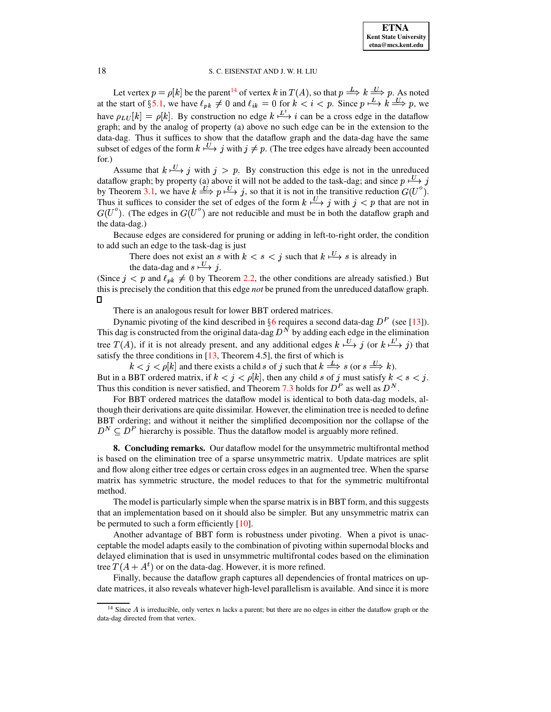Let vertex  $p = \rho[k]$  be the parent<sup>14</sup> of vertex k in  $T(A)$ , so that  $p \stackrel{L}{\Longrightarrow} k \stackrel{U}{\Longrightarrow} p$ . As noted at the start of §5.1, we have  $\ell_{pk} \neq 0$  and  $\ell_{ik} = 0$  for  $k < i < p$ . Since  $p \stackrel{L}{\longrightarrow} k \stackrel{U}{\Longrightarrow} p$ , we have  $\rho_{LU}[k] = \rho[k]$ . By construction no edge  $k \stackrel{L^t}{\longrightarrow} i$  can be a cross edge in the dataflow graph; and by the analog of property (a) above no such edge can be in the extension to the data-dag. Thus it suffices to show that the dataflow graph and the data-dag have the same subset of edges of the form  $k \stackrel{U}{\longrightarrow} j$  with  $j \neq p$ . (The tree edges have already been accounted  $for.$ )

Assume that  $k \stackrel{U}{\longmapsto} j$  with  $j > p$ . By construction this edge is not in the unreduced dataflow graph; by property (a) above it will not be added to the task-dag; and since  $p \stackrel{U}{\rightarrow} j$ by Theorem 3.1, we have  $k \stackrel{U}{\Longrightarrow} p \stackrel{U}{\longleftrightarrow} j$ , so that it is not in the transitive reduction  $G(U^o)$ . Thus it suffices to consider the set of edges of the form  $k \stackrel{U}{\longrightarrow} j$  with  $j < p$  that are not in  $G(U^{\circ})$ . (The edges in  $G(U^{\circ})$  are not reducible and must be in both the dataflow graph and the data-dag.)

Because edges are considered for pruning or adding in left-to-right order, the condition to add such an edge to the task-dag is just

There does not exist an s with  $k < s < j$  such that  $k \stackrel{U}{\longrightarrow} s$  is already in the data-dag and  $s \stackrel{U}{\longrightarrow} j$ .

(Since  $j < p$  and  $\ell_{pk} \neq 0$  by Theorem 2.2, the other conditions are already satisfied.) But this is precisely the condition that this edge *not* be pruned from the unreduced dataflow graph.  $\Box$ 

There is an analogous result for lower BBT ordered matrices.

Dynamic pivoting of the kind described in  $\S6$  requires a second data-dag  $D^P$  (see [13]). This dag is constructed from the original data-dag  $D<sup>N</sup>$  by adding each edge in the elimination tree  $T(A)$ , if it is not already present, and any additional edges  $k \stackrel{U}{\longmapsto} j$  (or  $k \stackrel{L^t}{\longmapsto} j$ ) that satisfy the three conditions in  $[13,$  Theorem 4.5], the first of which is

 $k < j < \rho[k]$  and there exists a child s of j such that  $k \stackrel{L}{\Longrightarrow} s$  (or  $s \stackrel{U}{\Longrightarrow} k$ ). But in a BBT ordered matrix, if  $k < j < \rho[k]$ , then any child s of j must satisfy  $k < s < j$ . Thus this condition is never satisfied, and Theorem 7.3 holds for  $D^P$  as well as  $D^N$ .

For BBT ordered matrices the dataflow model is identical to both data-dag models, although their derivations are quite dissimilar. However, the elimination tree is needed to define BBT ordering; and without it neither the simplified decomposition nor the collapse of the  $D^N \subset D^P$  hierarchy is possible. Thus the dataflow model is arguably more refined.

**8. Concluding remarks.** Our dataflow model for the unsymmetric multifrontal method is based on the elimination tree of a sparse unsymmetric matrix. Update matrices are split and flow along either tree edges or certain cross edges in an augmented tree. When the sparse matrix has symmetric structure, the model reduces to that for the symmetric multifrontal method.

The model is particularly simple when the sparse matrix is in BBT form, and this suggests that an implementation based on it should also be simpler. But any unsymmetric matrix can be permuted to such a form efficiently  $[10]$ .

Another advantage of BBT form is robustness under pivoting. When a pivot is unacceptable the model adapts easily to the combination of pivoting within supernodal blocks and delayed elimination that is used in unsymmetric multifrontal codes based on the elimination tree  $T(A + A<sup>t</sup>)$  or on the data-dag. However, it is more refined.

Finally, because the dataflow graph captures all dependencies of frontal matrices on update matrices, it also reveals whatever high-level parallelism is available. And since it is more

<span id="page-17-0"></span><sup>&</sup>lt;sup>14</sup> Since  $A$  is irreducible, only vertex  $n$  lacks a parent; but there are no edges in either the dataflow graph or the data-dag directed from that vertex.